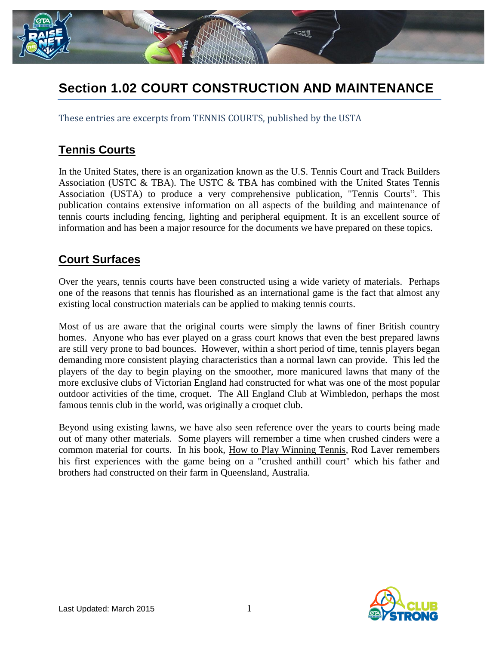

## **Section 1.02 COURT CONSTRUCTION AND MAINTENANCE**

These entries are excerpts from TENNIS COURTS, published by the USTA

## **Tennis Courts**

In the United States, there is an organization known as the U.S. Tennis Court and Track Builders Association (USTC & TBA). The USTC & TBA has combined with the United States Tennis Association (USTA) to produce a very comprehensive publication, "Tennis Courts". This publication contains extensive information on all aspects of the building and maintenance of tennis courts including fencing, lighting and peripheral equipment. It is an excellent source of information and has been a major resource for the documents we have prepared on these topics.

## **Court Surfaces**

Over the years, tennis courts have been constructed using a wide variety of materials. Perhaps one of the reasons that tennis has flourished as an international game is the fact that almost any existing local construction materials can be applied to making tennis courts.

Most of us are aware that the original courts were simply the lawns of finer British country homes. Anyone who has ever played on a grass court knows that even the best prepared lawns are still very prone to bad bounces. However, within a short period of time, tennis players began demanding more consistent playing characteristics than a normal lawn can provide. This led the players of the day to begin playing on the smoother, more manicured lawns that many of the more exclusive clubs of Victorian England had constructed for what was one of the most popular outdoor activities of the time, croquet. The All England Club at Wimbledon, perhaps the most famous tennis club in the world, was originally a croquet club.

Beyond using existing lawns, we have also seen reference over the years to courts being made out of many other materials. Some players will remember a time when crushed cinders were a common material for courts. In his book, How to Play Winning Tennis, Rod Laver remembers his first experiences with the game being on a "crushed anthill court" which his father and brothers had constructed on their farm in Queensland, Australia.

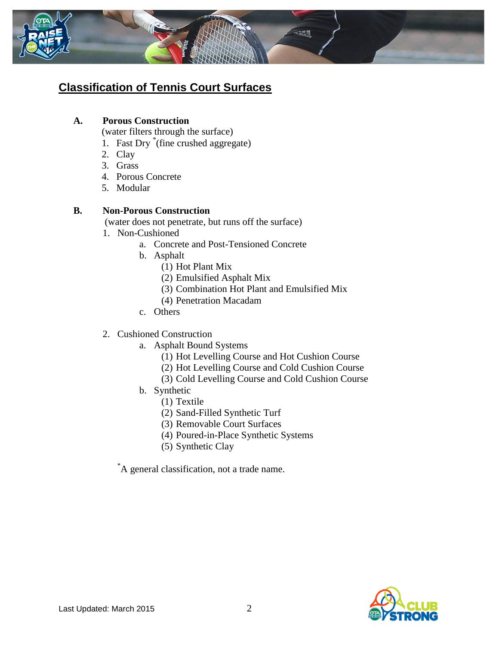

## **Classification of Tennis Court Surfaces**

#### **A. Porous Construction**

- (water filters through the surface)
- 1. Fast Dry \* (fine crushed aggregate)
- 2. Clay
- 3. Grass
- 4. Porous Concrete
- 5. Modular

#### **B. Non-Porous Construction**

(water does not penetrate, but runs off the surface)

- 1. Non-Cushioned
	- a. Concrete and Post-Tensioned Concrete
	- b. Asphalt
		- (1) Hot Plant Mix
		- (2) Emulsified Asphalt Mix
		- (3) Combination Hot Plant and Emulsified Mix
		- (4) Penetration Macadam
	- c. Others
- 2. Cushioned Construction
	- a. Asphalt Bound Systems
		- (1) Hot Levelling Course and Hot Cushion Course
		- (2) Hot Levelling Course and Cold Cushion Course
		- (3) Cold Levelling Course and Cold Cushion Course
	- b. Synthetic
		- (1) Textile
		- (2) Sand-Filled Synthetic Turf
		- (3) Removable Court Surfaces
		- (4) Poured-in-Place Synthetic Systems
		- (5) Synthetic Clay

\*A general classification, not a trade name.

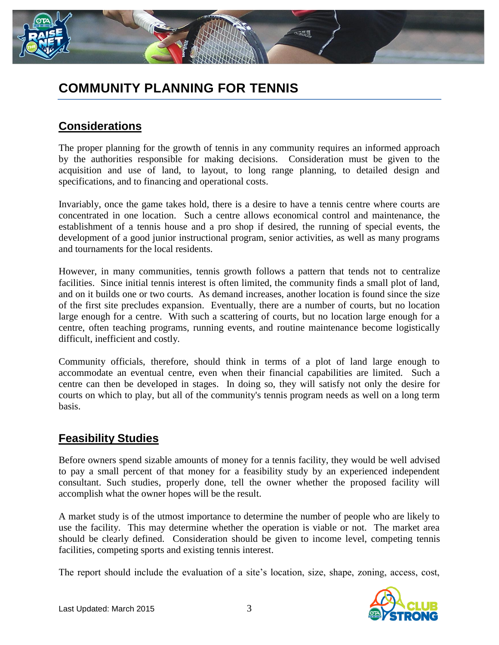

## **COMMUNITY PLANNING FOR TENNIS**

## **Considerations**

The proper planning for the growth of tennis in any community requires an informed approach by the authorities responsible for making decisions. Consideration must be given to the acquisition and use of land, to layout, to long range planning, to detailed design and specifications, and to financing and operational costs.

Invariably, once the game takes hold, there is a desire to have a tennis centre where courts are concentrated in one location. Such a centre allows economical control and maintenance, the establishment of a tennis house and a pro shop if desired, the running of special events, the development of a good junior instructional program, senior activities, as well as many programs and tournaments for the local residents.

However, in many communities, tennis growth follows a pattern that tends not to centralize facilities. Since initial tennis interest is often limited, the community finds a small plot of land, and on it builds one or two courts. As demand increases, another location is found since the size of the first site precludes expansion. Eventually, there are a number of courts, but no location large enough for a centre. With such a scattering of courts, but no location large enough for a centre, often teaching programs, running events, and routine maintenance become logistically difficult, inefficient and costly.

Community officials, therefore, should think in terms of a plot of land large enough to accommodate an eventual centre, even when their financial capabilities are limited. Such a centre can then be developed in stages. In doing so, they will satisfy not only the desire for courts on which to play, but all of the community's tennis program needs as well on a long term basis.

#### **Feasibility Studies**

Before owners spend sizable amounts of money for a tennis facility, they would be well advised to pay a small percent of that money for a feasibility study by an experienced independent consultant. Such studies, properly done, tell the owner whether the proposed facility will accomplish what the owner hopes will be the result.

A market study is of the utmost importance to determine the number of people who are likely to use the facility. This may determine whether the operation is viable or not. The market area should be clearly defined. Consideration should be given to income level, competing tennis facilities, competing sports and existing tennis interest.

The report should include the evaluation of a site's location, size, shape, zoning, access, cost,

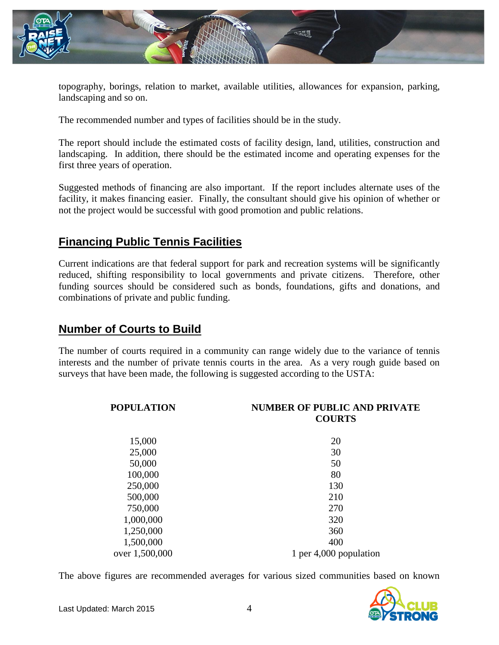

topography, borings, relation to market, available utilities, allowances for expansion, parking, landscaping and so on.

The recommended number and types of facilities should be in the study.

The report should include the estimated costs of facility design, land, utilities, construction and landscaping. In addition, there should be the estimated income and operating expenses for the first three years of operation.

Suggested methods of financing are also important. If the report includes alternate uses of the facility, it makes financing easier. Finally, the consultant should give his opinion of whether or not the project would be successful with good promotion and public relations.

## **Financing Public Tennis Facilities**

Current indications are that federal support for park and recreation systems will be significantly reduced, shifting responsibility to local governments and private citizens. Therefore, other funding sources should be considered such as bonds, foundations, gifts and donations, and combinations of private and public funding.

#### **Number of Courts to Build**

The number of courts required in a community can range widely due to the variance of tennis interests and the number of private tennis courts in the area. As a very rough guide based on surveys that have been made, the following is suggested according to the USTA:

| <b>POPULATION</b> | <b>NUMBER OF PUBLIC AND PRIVATE</b><br><b>COURTS</b> |
|-------------------|------------------------------------------------------|
| 15,000            | 20                                                   |
| 25,000            | 30                                                   |
| 50,000            | 50                                                   |
| 100,000           | 80                                                   |
| 250,000           | 130                                                  |
| 500,000           | 210                                                  |
| 750,000           | 270                                                  |
| 1,000,000         | 320                                                  |
| 1,250,000         | 360                                                  |
| 1,500,000         | 400                                                  |
| over 1,500,000    | 1 per 4,000 population                               |

The above figures are recommended averages for various sized communities based on known

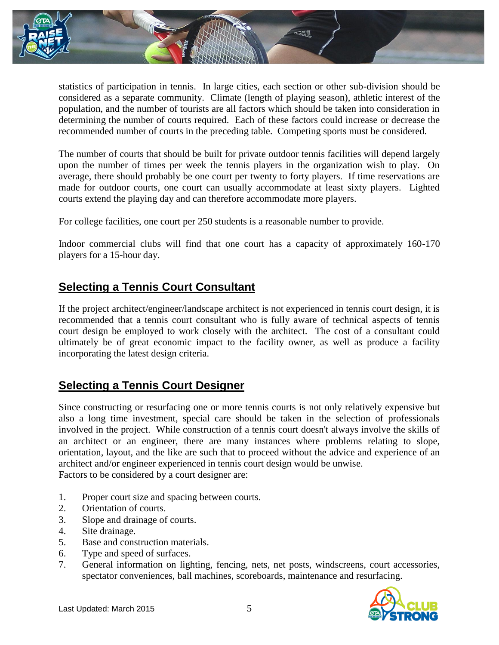

statistics of participation in tennis. In large cities, each section or other sub-division should be considered as a separate community. Climate (length of playing season), athletic interest of the population, and the number of tourists are all factors which should be taken into consideration in determining the number of courts required. Each of these factors could increase or decrease the recommended number of courts in the preceding table. Competing sports must be considered.

The number of courts that should be built for private outdoor tennis facilities will depend largely upon the number of times per week the tennis players in the organization wish to play. On average, there should probably be one court per twenty to forty players. If time reservations are made for outdoor courts, one court can usually accommodate at least sixty players. Lighted courts extend the playing day and can therefore accommodate more players.

For college facilities, one court per 250 students is a reasonable number to provide.

Indoor commercial clubs will find that one court has a capacity of approximately 160-170 players for a 15-hour day.

### **Selecting a Tennis Court Consultant**

If the project architect/engineer/landscape architect is not experienced in tennis court design, it is recommended that a tennis court consultant who is fully aware of technical aspects of tennis court design be employed to work closely with the architect. The cost of a consultant could ultimately be of great economic impact to the facility owner, as well as produce a facility incorporating the latest design criteria.

## **Selecting a Tennis Court Designer**

Since constructing or resurfacing one or more tennis courts is not only relatively expensive but also a long time investment, special care should be taken in the selection of professionals involved in the project. While construction of a tennis court doesn't always involve the skills of an architect or an engineer, there are many instances where problems relating to slope, orientation, layout, and the like are such that to proceed without the advice and experience of an architect and/or engineer experienced in tennis court design would be unwise. Factors to be considered by a court designer are:

- 1. Proper court size and spacing between courts.
- 2. Orientation of courts.
- 3. Slope and drainage of courts.
- 4. Site drainage.
- 5. Base and construction materials.
- 6. Type and speed of surfaces.
- 7. General information on lighting, fencing, nets, net posts, windscreens, court accessories, spectator conveniences, ball machines, scoreboards, maintenance and resurfacing.

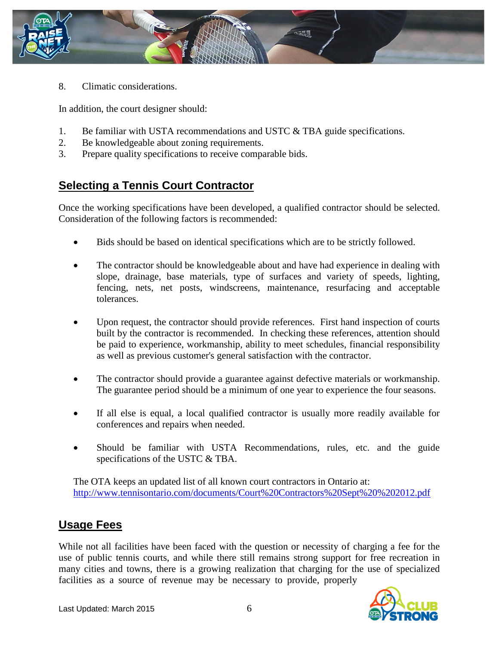

8. Climatic considerations.

In addition, the court designer should:

- 1. Be familiar with USTA recommendations and USTC & TBA guide specifications.
- 2. Be knowledgeable about zoning requirements.
- 3. Prepare quality specifications to receive comparable bids.

## **Selecting a Tennis Court Contractor**

Once the working specifications have been developed, a qualified contractor should be selected. Consideration of the following factors is recommended:

- Bids should be based on identical specifications which are to be strictly followed.
- The contractor should be knowledgeable about and have had experience in dealing with slope, drainage, base materials, type of surfaces and variety of speeds, lighting, fencing, nets, net posts, windscreens, maintenance, resurfacing and acceptable tolerances.
- Upon request, the contractor should provide references. First hand inspection of courts built by the contractor is recommended. In checking these references, attention should be paid to experience, workmanship, ability to meet schedules, financial responsibility as well as previous customer's general satisfaction with the contractor.
- The contractor should provide a guarantee against defective materials or workmanship. The guarantee period should be a minimum of one year to experience the four seasons.
- If all else is equal, a local qualified contractor is usually more readily available for conferences and repairs when needed.
- Should be familiar with USTA Recommendations, rules, etc. and the guide specifications of the USTC & TBA.

The OTA keeps an updated list of all known court contractors in Ontario at: <http://www.tennisontario.com/documents/Court%20Contractors%20Sept%20%202012.pdf>

#### **Usage Fees**

While not all facilities have been faced with the question or necessity of charging a fee for the use of public tennis courts, and while there still remains strong support for free recreation in many cities and towns, there is a growing realization that charging for the use of specialized facilities as a source of revenue may be necessary to provide, properly

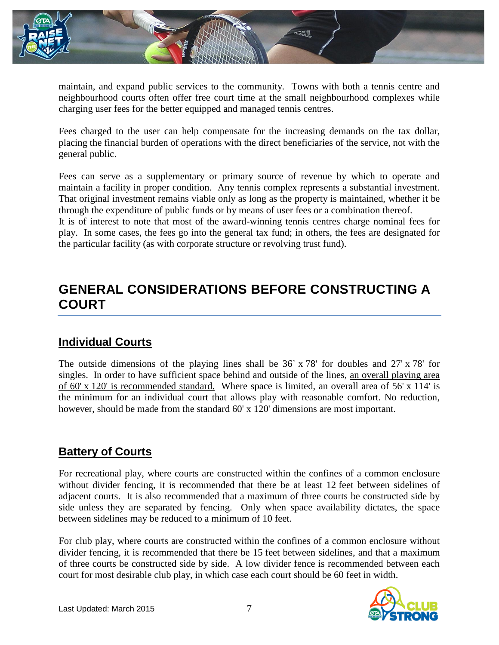

maintain, and expand public services to the community. Towns with both a tennis centre and neighbourhood courts often offer free court time at the small neighbourhood complexes while charging user fees for the better equipped and managed tennis centres.

Fees charged to the user can help compensate for the increasing demands on the tax dollar, placing the financial burden of operations with the direct beneficiaries of the service, not with the general public.

Fees can serve as a supplementary or primary source of revenue by which to operate and maintain a facility in proper condition. Any tennis complex represents a substantial investment. That original investment remains viable only as long as the property is maintained, whether it be through the expenditure of public funds or by means of user fees or a combination thereof.

It is of interest to note that most of the award-winning tennis centres charge nominal fees for play. In some cases, the fees go into the general tax fund; in others, the fees are designated for the particular facility (as with corporate structure or revolving trust fund).

## **GENERAL CONSIDERATIONS BEFORE CONSTRUCTING A COURT**

#### **Individual Courts**

The outside dimensions of the playing lines shall be  $36 \times 78'$  for doubles and  $27' \times 78'$  for singles. In order to have sufficient space behind and outside of the lines, an overall playing area of 60' x 120' is recommended standard. Where space is limited, an overall area of 56' x 114' is the minimum for an individual court that allows play with reasonable comfort. No reduction, however, should be made from the standard 60' x 120' dimensions are most important.

## **Battery of Courts**

For recreational play, where courts are constructed within the confines of a common enclosure without divider fencing, it is recommended that there be at least 12 feet between sidelines of adjacent courts. It is also recommended that a maximum of three courts be constructed side by side unless they are separated by fencing. Only when space availability dictates, the space between sidelines may be reduced to a minimum of 10 feet.

For club play, where courts are constructed within the confines of a common enclosure without divider fencing, it is recommended that there be 15 feet between sidelines, and that a maximum of three courts be constructed side by side. A low divider fence is recommended between each court for most desirable club play, in which case each court should be 60 feet in width.

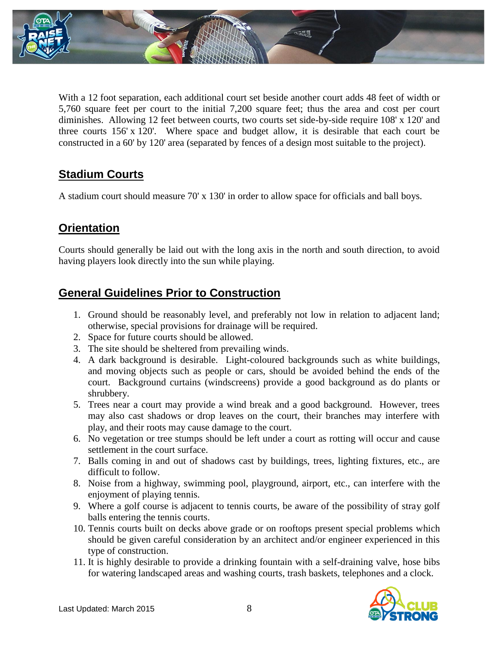

With a 12 foot separation, each additional court set beside another court adds 48 feet of width or 5,760 square feet per court to the initial 7,200 square feet; thus the area and cost per court diminishes. Allowing 12 feet between courts, two courts set side-by-side require 108' x 120' and three courts 156' x 120'. Where space and budget allow, it is desirable that each court be constructed in a 60' by 120' area (separated by fences of a design most suitable to the project).

## **Stadium Courts**

A stadium court should measure 70' x 130' in order to allow space for officials and ball boys.

## **Orientation**

Courts should generally be laid out with the long axis in the north and south direction, to avoid having players look directly into the sun while playing.

### **General Guidelines Prior to Construction**

- 1. Ground should be reasonably level, and preferably not low in relation to adjacent land; otherwise, special provisions for drainage will be required.
- 2. Space for future courts should be allowed.
- 3. The site should be sheltered from prevailing winds.
- 4. A dark background is desirable. Light-coloured backgrounds such as white buildings, and moving objects such as people or cars, should be avoided behind the ends of the court. Background curtains (windscreens) provide a good background as do plants or shrubbery.
- 5. Trees near a court may provide a wind break and a good background. However, trees may also cast shadows or drop leaves on the court, their branches may interfere with play, and their roots may cause damage to the court.
- 6. No vegetation or tree stumps should be left under a court as rotting will occur and cause settlement in the court surface.
- 7. Balls coming in and out of shadows cast by buildings, trees, lighting fixtures, etc., are difficult to follow.
- 8. Noise from a highway, swimming pool, playground, airport, etc., can interfere with the enjoyment of playing tennis.
- 9. Where a golf course is adjacent to tennis courts, be aware of the possibility of stray golf balls entering the tennis courts.
- 10. Tennis courts built on decks above grade or on rooftops present special problems which should be given careful consideration by an architect and/or engineer experienced in this type of construction.
- 11. It is highly desirable to provide a drinking fountain with a self-draining valve, hose bibs for watering landscaped areas and washing courts, trash baskets, telephones and a clock.

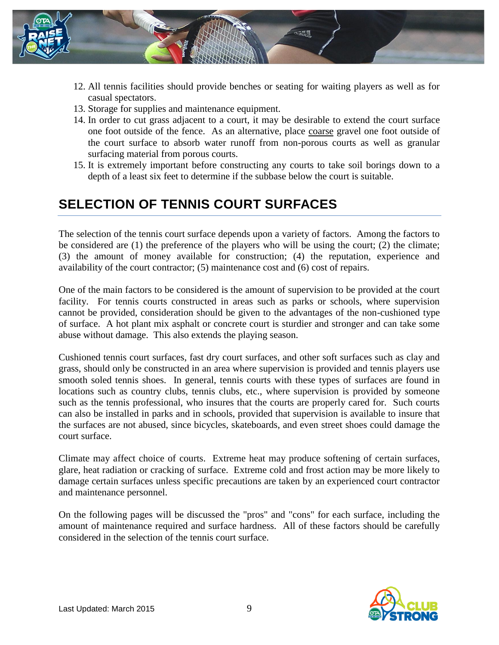

- 12. All tennis facilities should provide benches or seating for waiting players as well as for casual spectators.
- 13. Storage for supplies and maintenance equipment.
- 14. In order to cut grass adjacent to a court, it may be desirable to extend the court surface one foot outside of the fence. As an alternative, place coarse gravel one foot outside of the court surface to absorb water runoff from non-porous courts as well as granular surfacing material from porous courts.
- 15. It is extremely important before constructing any courts to take soil borings down to a depth of a least six feet to determine if the subbase below the court is suitable.

## **SELECTION OF TENNIS COURT SURFACES**

The selection of the tennis court surface depends upon a variety of factors. Among the factors to be considered are (1) the preference of the players who will be using the court; (2) the climate; (3) the amount of money available for construction; (4) the reputation, experience and availability of the court contractor; (5) maintenance cost and (6) cost of repairs.

One of the main factors to be considered is the amount of supervision to be provided at the court facility. For tennis courts constructed in areas such as parks or schools, where supervision cannot be provided, consideration should be given to the advantages of the non-cushioned type of surface. A hot plant mix asphalt or concrete court is sturdier and stronger and can take some abuse without damage. This also extends the playing season.

Cushioned tennis court surfaces, fast dry court surfaces, and other soft surfaces such as clay and grass, should only be constructed in an area where supervision is provided and tennis players use smooth soled tennis shoes. In general, tennis courts with these types of surfaces are found in locations such as country clubs, tennis clubs, etc., where supervision is provided by someone such as the tennis professional, who insures that the courts are properly cared for. Such courts can also be installed in parks and in schools, provided that supervision is available to insure that the surfaces are not abused, since bicycles, skateboards, and even street shoes could damage the court surface.

Climate may affect choice of courts. Extreme heat may produce softening of certain surfaces, glare, heat radiation or cracking of surface. Extreme cold and frost action may be more likely to damage certain surfaces unless specific precautions are taken by an experienced court contractor and maintenance personnel.

On the following pages will be discussed the "pros" and "cons" for each surface, including the amount of maintenance required and surface hardness. All of these factors should be carefully considered in the selection of the tennis court surface.

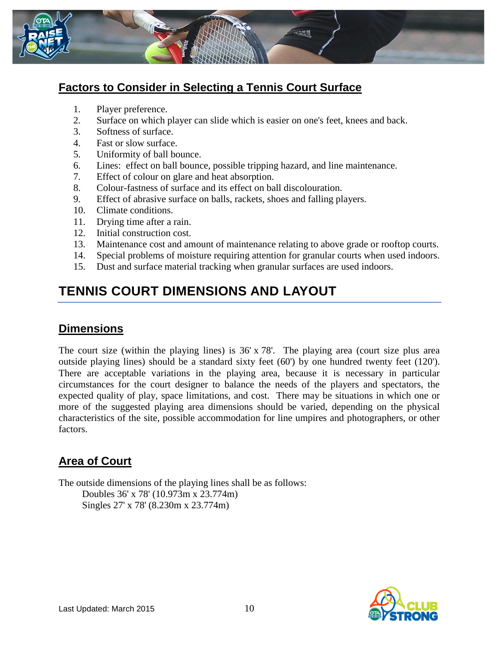

## **Factors to Consider in Selecting a Tennis Court Surface**

- 1. Player preference.
- 2. Surface on which player can slide which is easier on one's feet, knees and back.
- 3. Softness of surface.
- 4. Fast or slow surface.
- 5. Uniformity of ball bounce.
- 6. Lines: effect on ball bounce, possible tripping hazard, and line maintenance.
- 7. Effect of colour on glare and heat absorption.
- 8. Colour-fastness of surface and its effect on ball discolouration.
- 9. Effect of abrasive surface on balls, rackets, shoes and falling players.
- 10. Climate conditions.
- 11. Drying time after a rain.
- 12. Initial construction cost.
- 13. Maintenance cost and amount of maintenance relating to above grade or rooftop courts.
- 14. Special problems of moisture requiring attention for granular courts when used indoors.
- 15. Dust and surface material tracking when granular surfaces are used indoors.

## **TENNIS COURT DIMENSIONS AND LAYOUT**

#### **Dimensions**

The court size (within the playing lines) is 36' x 78'. The playing area (court size plus area outside playing lines) should be a standard sixty feet (60') by one hundred twenty feet (120'). There are acceptable variations in the playing area, because it is necessary in particular circumstances for the court designer to balance the needs of the players and spectators, the expected quality of play, space limitations, and cost. There may be situations in which one or more of the suggested playing area dimensions should be varied, depending on the physical characteristics of the site, possible accommodation for line umpires and photographers, or other factors.

## **Area of Court**

The outside dimensions of the playing lines shall be as follows: Doubles 36' x 78' (10.973m x 23.774m) Singles 27' x 78' (8.230m x 23.774m)

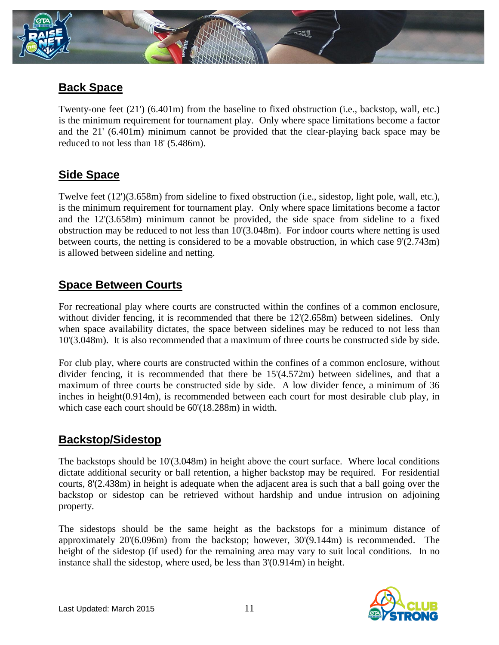

### **Back Space**

Twenty-one feet (21') (6.401m) from the baseline to fixed obstruction (i.e., backstop, wall, etc.) is the minimum requirement for tournament play. Only where space limitations become a factor and the 21' (6.401m) minimum cannot be provided that the clear-playing back space may be reduced to not less than 18' (5.486m).

### **Side Space**

Twelve feet (12')(3.658m) from sideline to fixed obstruction (i.e., sidestop, light pole, wall, etc.), is the minimum requirement for tournament play. Only where space limitations become a factor and the 12'(3.658m) minimum cannot be provided, the side space from sideline to a fixed obstruction may be reduced to not less than 10'(3.048m). For indoor courts where netting is used between courts, the netting is considered to be a movable obstruction, in which case 9'(2.743m) is allowed between sideline and netting.

## **Space Between Courts**

For recreational play where courts are constructed within the confines of a common enclosure, without divider fencing, it is recommended that there be  $12'(2.658m)$  between sidelines. Only when space availability dictates, the space between sidelines may be reduced to not less than 10'(3.048m). It is also recommended that a maximum of three courts be constructed side by side.

For club play, where courts are constructed within the confines of a common enclosure, without divider fencing, it is recommended that there be 15'(4.572m) between sidelines, and that a maximum of three courts be constructed side by side. A low divider fence, a minimum of 36 inches in height(0.914m), is recommended between each court for most desirable club play, in which case each court should be  $60'(18.288m)$  in width.

#### **Backstop/Sidestop**

The backstops should be 10'(3.048m) in height above the court surface. Where local conditions dictate additional security or ball retention, a higher backstop may be required. For residential courts, 8'(2.438m) in height is adequate when the adjacent area is such that a ball going over the backstop or sidestop can be retrieved without hardship and undue intrusion on adjoining property.

The sidestops should be the same height as the backstops for a minimum distance of approximately 20'(6.096m) from the backstop; however, 30'(9.144m) is recommended. The height of the sidestop (if used) for the remaining area may vary to suit local conditions. In no instance shall the sidestop, where used, be less than 3'(0.914m) in height.

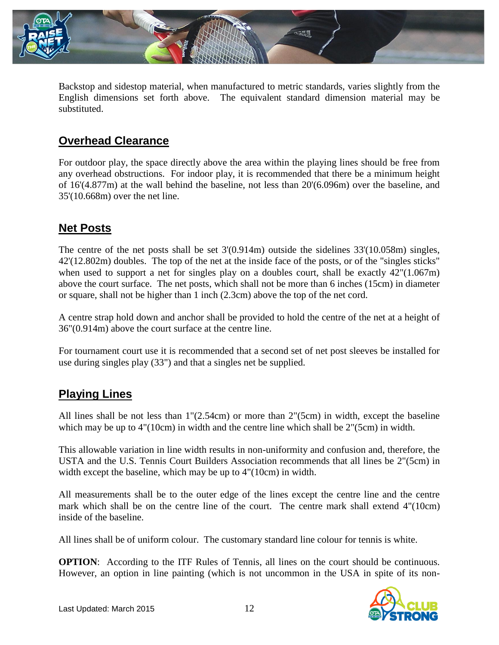

Backstop and sidestop material, when manufactured to metric standards, varies slightly from the English dimensions set forth above. The equivalent standard dimension material may be substituted.

## **Overhead Clearance**

For outdoor play, the space directly above the area within the playing lines should be free from any overhead obstructions. For indoor play, it is recommended that there be a minimum height of 16'(4.877m) at the wall behind the baseline, not less than 20'(6.096m) over the baseline, and 35'(10.668m) over the net line.

## **Net Posts**

The centre of the net posts shall be set 3'(0.914m) outside the sidelines 33'(10.058m) singles, 42'(12.802m) doubles. The top of the net at the inside face of the posts, or of the "singles sticks" when used to support a net for singles play on a doubles court, shall be exactly  $42^{\circ}(1.067\text{m})$ above the court surface. The net posts, which shall not be more than 6 inches (15cm) in diameter or square, shall not be higher than 1 inch (2.3cm) above the top of the net cord.

A centre strap hold down and anchor shall be provided to hold the centre of the net at a height of 36"(0.914m) above the court surface at the centre line.

For tournament court use it is recommended that a second set of net post sleeves be installed for use during singles play (33") and that a singles net be supplied.

#### **Playing Lines**

All lines shall be not less than 1"(2.54cm) or more than 2"(5cm) in width, except the baseline which may be up to 4"(10cm) in width and the centre line which shall be 2"(5cm) in width.

This allowable variation in line width results in non-uniformity and confusion and, therefore, the USTA and the U.S. Tennis Court Builders Association recommends that all lines be 2"(5cm) in width except the baseline, which may be up to  $4''(10cm)$  in width.

All measurements shall be to the outer edge of the lines except the centre line and the centre mark which shall be on the centre line of the court. The centre mark shall extend 4"(10cm) inside of the baseline.

All lines shall be of uniform colour. The customary standard line colour for tennis is white.

**OPTION:** According to the ITF Rules of Tennis, all lines on the court should be continuous. However, an option in line painting (which is not uncommon in the USA in spite of its non-

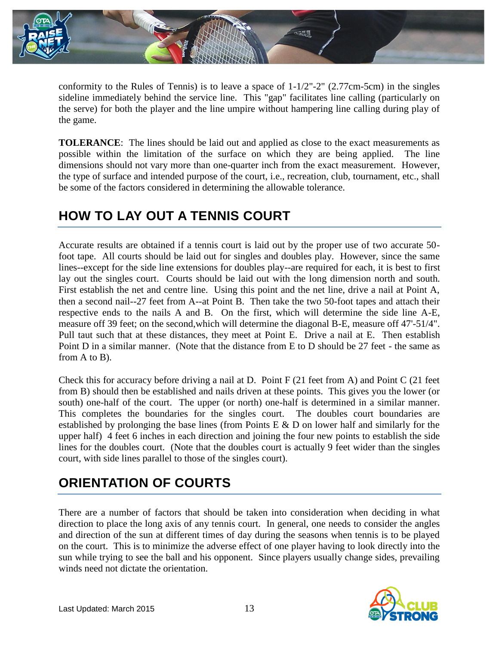

conformity to the Rules of Tennis) is to leave a space of 1-1/2"-2" (2.77cm-5cm) in the singles sideline immediately behind the service line. This "gap" facilitates line calling (particularly on the serve) for both the player and the line umpire without hampering line calling during play of the game.

**TOLERANCE**: The lines should be laid out and applied as close to the exact measurements as possible within the limitation of the surface on which they are being applied. The line dimensions should not vary more than one-quarter inch from the exact measurement. However, the type of surface and intended purpose of the court, i.e., recreation, club, tournament, etc., shall be some of the factors considered in determining the allowable tolerance.

## **HOW TO LAY OUT A TENNIS COURT**

Accurate results are obtained if a tennis court is laid out by the proper use of two accurate 50 foot tape. All courts should be laid out for singles and doubles play. However, since the same lines--except for the side line extensions for doubles play--are required for each, it is best to first lay out the singles court. Courts should be laid out with the long dimension north and south. First establish the net and centre line. Using this point and the net line, drive a nail at Point A, then a second nail--27 feet from A--at Point B. Then take the two 50-foot tapes and attach their respective ends to the nails A and B. On the first, which will determine the side line A-E, measure off 39 feet; on the second,which will determine the diagonal B-E, measure off 47'-51/4". Pull taut such that at these distances, they meet at Point E. Drive a nail at E. Then establish Point D in a similar manner. (Note that the distance from E to D should be 27 feet - the same as from A to B).

Check this for accuracy before driving a nail at D. Point F (21 feet from A) and Point C (21 feet from B) should then be established and nails driven at these points. This gives you the lower (or south) one-half of the court. The upper (or north) one-half is determined in a similar manner. This completes the boundaries for the singles court. The doubles court boundaries are established by prolonging the base lines (from Points E & D on lower half and similarly for the upper half) 4 feet 6 inches in each direction and joining the four new points to establish the side lines for the doubles court. (Note that the doubles court is actually 9 feet wider than the singles court, with side lines parallel to those of the singles court).

# **ORIENTATION OF COURTS**

There are a number of factors that should be taken into consideration when deciding in what direction to place the long axis of any tennis court. In general, one needs to consider the angles and direction of the sun at different times of day during the seasons when tennis is to be played on the court. This is to minimize the adverse effect of one player having to look directly into the sun while trying to see the ball and his opponent. Since players usually change sides, prevailing winds need not dictate the orientation.

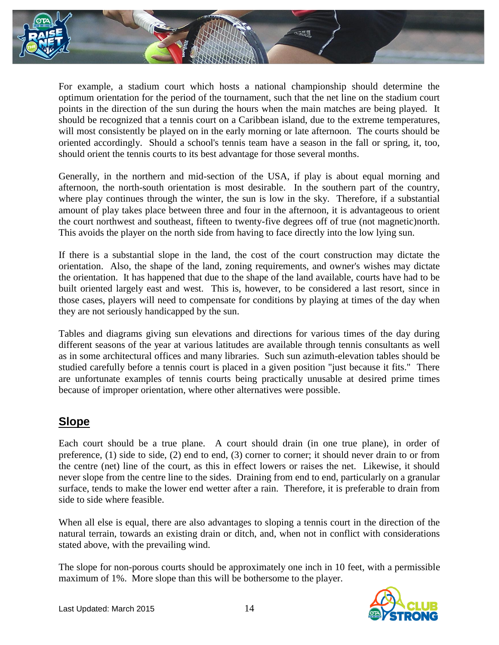

For example, a stadium court which hosts a national championship should determine the optimum orientation for the period of the tournament, such that the net line on the stadium court points in the direction of the sun during the hours when the main matches are being played. It should be recognized that a tennis court on a Caribbean island, due to the extreme temperatures, will most consistently be played on in the early morning or late afternoon. The courts should be oriented accordingly. Should a school's tennis team have a season in the fall or spring, it, too, should orient the tennis courts to its best advantage for those several months.

Generally, in the northern and mid-section of the USA, if play is about equal morning and afternoon, the north-south orientation is most desirable. In the southern part of the country, where play continues through the winter, the sun is low in the sky. Therefore, if a substantial amount of play takes place between three and four in the afternoon, it is advantageous to orient the court northwest and southeast, fifteen to twenty-five degrees off of true (not magnetic)north. This avoids the player on the north side from having to face directly into the low lying sun.

If there is a substantial slope in the land, the cost of the court construction may dictate the orientation. Also, the shape of the land, zoning requirements, and owner's wishes may dictate the orientation. It has happened that due to the shape of the land available, courts have had to be built oriented largely east and west. This is, however, to be considered a last resort, since in those cases, players will need to compensate for conditions by playing at times of the day when they are not seriously handicapped by the sun.

Tables and diagrams giving sun elevations and directions for various times of the day during different seasons of the year at various latitudes are available through tennis consultants as well as in some architectural offices and many libraries. Such sun azimuth-elevation tables should be studied carefully before a tennis court is placed in a given position "just because it fits." There are unfortunate examples of tennis courts being practically unusable at desired prime times because of improper orientation, where other alternatives were possible.

#### **Slope**

Each court should be a true plane. A court should drain (in one true plane), in order of preference, (1) side to side, (2) end to end, (3) corner to corner; it should never drain to or from the centre (net) line of the court, as this in effect lowers or raises the net. Likewise, it should never slope from the centre line to the sides. Draining from end to end, particularly on a granular surface, tends to make the lower end wetter after a rain. Therefore, it is preferable to drain from side to side where feasible.

When all else is equal, there are also advantages to sloping a tennis court in the direction of the natural terrain, towards an existing drain or ditch, and, when not in conflict with considerations stated above, with the prevailing wind.

The slope for non-porous courts should be approximately one inch in 10 feet, with a permissible maximum of 1%. More slope than this will be bothersome to the player.

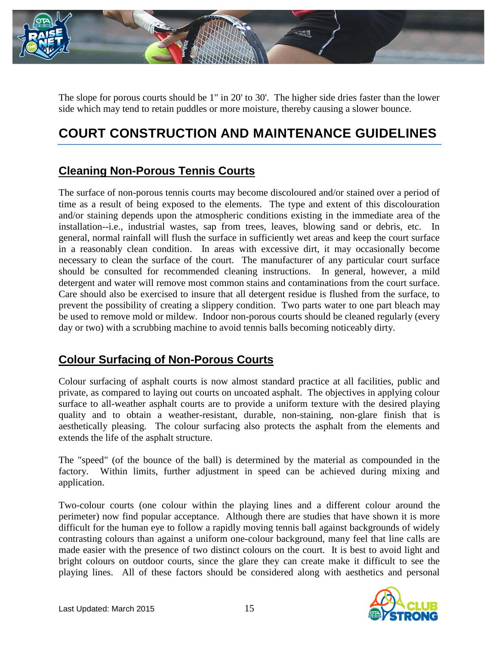

The slope for porous courts should be 1" in 20' to 30'. The higher side dries faster than the lower side which may tend to retain puddles or more moisture, thereby causing a slower bounce.

# **COURT CONSTRUCTION AND MAINTENANCE GUIDELINES**

## **Cleaning Non-Porous Tennis Courts**

The surface of non-porous tennis courts may become discoloured and/or stained over a period of time as a result of being exposed to the elements. The type and extent of this discolouration and/or staining depends upon the atmospheric conditions existing in the immediate area of the installation--i.e., industrial wastes, sap from trees, leaves, blowing sand or debris, etc. In general, normal rainfall will flush the surface in sufficiently wet areas and keep the court surface in a reasonably clean condition. In areas with excessive dirt, it may occasionally become necessary to clean the surface of the court. The manufacturer of any particular court surface should be consulted for recommended cleaning instructions. In general, however, a mild detergent and water will remove most common stains and contaminations from the court surface. Care should also be exercised to insure that all detergent residue is flushed from the surface, to prevent the possibility of creating a slippery condition. Two parts water to one part bleach may be used to remove mold or mildew. Indoor non-porous courts should be cleaned regularly (every day or two) with a scrubbing machine to avoid tennis balls becoming noticeably dirty.

## **Colour Surfacing of Non-Porous Courts**

Colour surfacing of asphalt courts is now almost standard practice at all facilities, public and private, as compared to laying out courts on uncoated asphalt. The objectives in applying colour surface to all-weather asphalt courts are to provide a uniform texture with the desired playing quality and to obtain a weather-resistant, durable, non-staining, non-glare finish that is aesthetically pleasing. The colour surfacing also protects the asphalt from the elements and extends the life of the asphalt structure.

The "speed" (of the bounce of the ball) is determined by the material as compounded in the factory. Within limits, further adjustment in speed can be achieved during mixing and application.

Two-colour courts (one colour within the playing lines and a different colour around the perimeter) now find popular acceptance. Although there are studies that have shown it is more difficult for the human eye to follow a rapidly moving tennis ball against backgrounds of widely contrasting colours than against a uniform one-colour background, many feel that line calls are made easier with the presence of two distinct colours on the court. It is best to avoid light and bright colours on outdoor courts, since the glare they can create make it difficult to see the playing lines. All of these factors should be considered along with aesthetics and personal

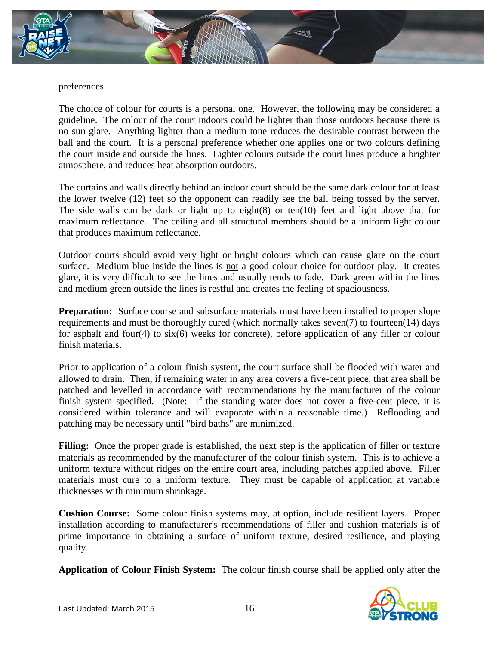

preferences.

The choice of colour for courts is a personal one. However, the following may be considered a guideline. The colour of the court indoors could be lighter than those outdoors because there is no sun glare. Anything lighter than a medium tone reduces the desirable contrast between the ball and the court. It is a personal preference whether one applies one or two colours defining the court inside and outside the lines. Lighter colours outside the court lines produce a brighter atmosphere, and reduces heat absorption outdoors.

The curtains and walls directly behind an indoor court should be the same dark colour for at least the lower twelve (12) feet so the opponent can readily see the ball being tossed by the server. The side walls can be dark or light up to eight $(8)$  or ten $(10)$  feet and light above that for maximum reflectance. The ceiling and all structural members should be a uniform light colour that produces maximum reflectance.

Outdoor courts should avoid very light or bright colours which can cause glare on the court surface. Medium blue inside the lines is not a good colour choice for outdoor play. It creates glare, it is very difficult to see the lines and usually tends to fade. Dark green within the lines and medium green outside the lines is restful and creates the feeling of spaciousness.

**Preparation:** Surface course and subsurface materials must have been installed to proper slope requirements and must be thoroughly cured (which normally takes seven(7) to fourteen(14) days for asphalt and four(4) to six(6) weeks for concrete), before application of any filler or colour finish materials.

Prior to application of a colour finish system, the court surface shall be flooded with water and allowed to drain. Then, if remaining water in any area covers a five-cent piece, that area shall be patched and levelled in accordance with recommendations by the manufacturer of the colour finish system specified. (Note: If the standing water does not cover a five-cent piece, it is considered within tolerance and will evaporate within a reasonable time.) Reflooding and patching may be necessary until "bird baths" are minimized.

**Filling:** Once the proper grade is established, the next step is the application of filler or texture materials as recommended by the manufacturer of the colour finish system. This is to achieve a uniform texture without ridges on the entire court area, including patches applied above. Filler materials must cure to a uniform texture. They must be capable of application at variable thicknesses with minimum shrinkage.

**Cushion Course:** Some colour finish systems may, at option, include resilient layers. Proper installation according to manufacturer's recommendations of filler and cushion materials is of prime importance in obtaining a surface of uniform texture, desired resilience, and playing quality.

**Application of Colour Finish System:** The colour finish course shall be applied only after the

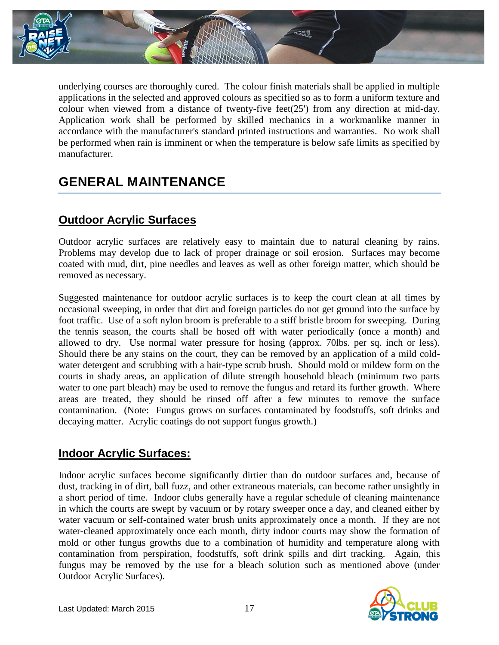

underlying courses are thoroughly cured. The colour finish materials shall be applied in multiple applications in the selected and approved colours as specified so as to form a uniform texture and colour when viewed from a distance of twenty-five feet(25') from any direction at mid-day. Application work shall be performed by skilled mechanics in a workmanlike manner in accordance with the manufacturer's standard printed instructions and warranties. No work shall be performed when rain is imminent or when the temperature is below safe limits as specified by manufacturer.

## **GENERAL MAINTENANCE**

### **Outdoor Acrylic Surfaces**

Outdoor acrylic surfaces are relatively easy to maintain due to natural cleaning by rains. Problems may develop due to lack of proper drainage or soil erosion. Surfaces may become coated with mud, dirt, pine needles and leaves as well as other foreign matter, which should be removed as necessary.

Suggested maintenance for outdoor acrylic surfaces is to keep the court clean at all times by occasional sweeping, in order that dirt and foreign particles do not get ground into the surface by foot traffic. Use of a soft nylon broom is preferable to a stiff bristle broom for sweeping. During the tennis season, the courts shall be hosed off with water periodically (once a month) and allowed to dry. Use normal water pressure for hosing (approx. 70lbs. per sq. inch or less). Should there be any stains on the court, they can be removed by an application of a mild coldwater detergent and scrubbing with a hair-type scrub brush. Should mold or mildew form on the courts in shady areas, an application of dilute strength household bleach (minimum two parts water to one part bleach) may be used to remove the fungus and retard its further growth. Where areas are treated, they should be rinsed off after a few minutes to remove the surface contamination. (Note: Fungus grows on surfaces contaminated by foodstuffs, soft drinks and decaying matter. Acrylic coatings do not support fungus growth.)

## **Indoor Acrylic Surfaces:**

Indoor acrylic surfaces become significantly dirtier than do outdoor surfaces and, because of dust, tracking in of dirt, ball fuzz, and other extraneous materials, can become rather unsightly in a short period of time. Indoor clubs generally have a regular schedule of cleaning maintenance in which the courts are swept by vacuum or by rotary sweeper once a day, and cleaned either by water vacuum or self-contained water brush units approximately once a month. If they are not water-cleaned approximately once each month, dirty indoor courts may show the formation of mold or other fungus growths due to a combination of humidity and temperature along with contamination from perspiration, foodstuffs, soft drink spills and dirt tracking. Again, this fungus may be removed by the use for a bleach solution such as mentioned above (under Outdoor Acrylic Surfaces).

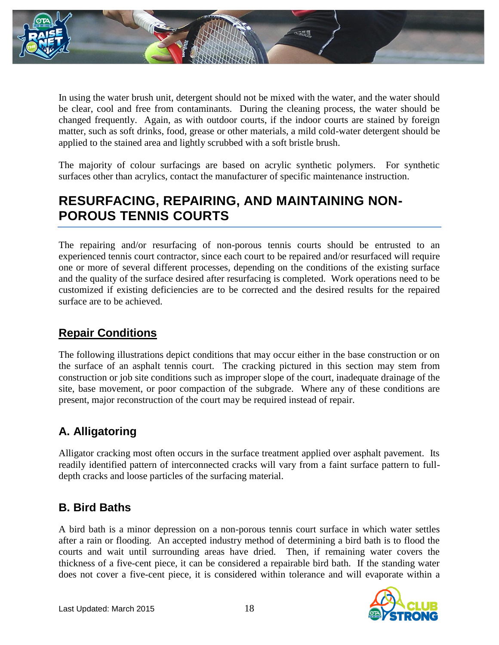

In using the water brush unit, detergent should not be mixed with the water, and the water should be clear, cool and free from contaminants. During the cleaning process, the water should be changed frequently. Again, as with outdoor courts, if the indoor courts are stained by foreign matter, such as soft drinks, food, grease or other materials, a mild cold-water detergent should be applied to the stained area and lightly scrubbed with a soft bristle brush.

The majority of colour surfacings are based on acrylic synthetic polymers. For synthetic surfaces other than acrylics, contact the manufacturer of specific maintenance instruction.

## **RESURFACING, REPAIRING, AND MAINTAINING NON-POROUS TENNIS COURTS**

The repairing and/or resurfacing of non-porous tennis courts should be entrusted to an experienced tennis court contractor, since each court to be repaired and/or resurfaced will require one or more of several different processes, depending on the conditions of the existing surface and the quality of the surface desired after resurfacing is completed. Work operations need to be customized if existing deficiencies are to be corrected and the desired results for the repaired surface are to be achieved.

## **Repair Conditions**

The following illustrations depict conditions that may occur either in the base construction or on the surface of an asphalt tennis court. The cracking pictured in this section may stem from construction or job site conditions such as improper slope of the court, inadequate drainage of the site, base movement, or poor compaction of the subgrade. Where any of these conditions are present, major reconstruction of the court may be required instead of repair.

## **A. Alligatoring**

Alligator cracking most often occurs in the surface treatment applied over asphalt pavement. Its readily identified pattern of interconnected cracks will vary from a faint surface pattern to fulldepth cracks and loose particles of the surfacing material.

## **B. Bird Baths**

A bird bath is a minor depression on a non-porous tennis court surface in which water settles after a rain or flooding. An accepted industry method of determining a bird bath is to flood the courts and wait until surrounding areas have dried. Then, if remaining water covers the thickness of a five-cent piece, it can be considered a repairable bird bath. If the standing water does not cover a five-cent piece, it is considered within tolerance and will evaporate within a

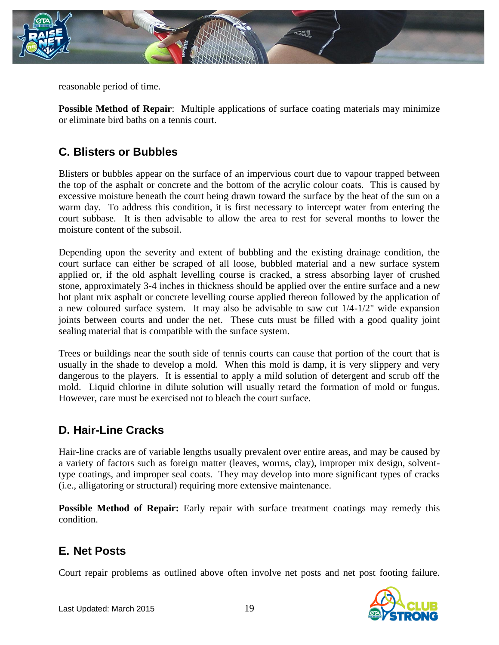

reasonable period of time.

**Possible Method of Repair:** Multiple applications of surface coating materials may minimize or eliminate bird baths on a tennis court.

### **C. Blisters or Bubbles**

Blisters or bubbles appear on the surface of an impervious court due to vapour trapped between the top of the asphalt or concrete and the bottom of the acrylic colour coats. This is caused by excessive moisture beneath the court being drawn toward the surface by the heat of the sun on a warm day. To address this condition, it is first necessary to intercept water from entering the court subbase. It is then advisable to allow the area to rest for several months to lower the moisture content of the subsoil.

Depending upon the severity and extent of bubbling and the existing drainage condition, the court surface can either be scraped of all loose, bubbled material and a new surface system applied or, if the old asphalt levelling course is cracked, a stress absorbing layer of crushed stone, approximately 3-4 inches in thickness should be applied over the entire surface and a new hot plant mix asphalt or concrete levelling course applied thereon followed by the application of a new coloured surface system. It may also be advisable to saw cut 1/4-1/2" wide expansion joints between courts and under the net. These cuts must be filled with a good quality joint sealing material that is compatible with the surface system.

Trees or buildings near the south side of tennis courts can cause that portion of the court that is usually in the shade to develop a mold. When this mold is damp, it is very slippery and very dangerous to the players. It is essential to apply a mild solution of detergent and scrub off the mold. Liquid chlorine in dilute solution will usually retard the formation of mold or fungus. However, care must be exercised not to bleach the court surface.

#### **D. Hair-Line Cracks**

Hair-line cracks are of variable lengths usually prevalent over entire areas, and may be caused by a variety of factors such as foreign matter (leaves, worms, clay), improper mix design, solventtype coatings, and improper seal coats. They may develop into more significant types of cracks (i.e., alligatoring or structural) requiring more extensive maintenance.

**Possible Method of Repair:** Early repair with surface treatment coatings may remedy this condition.

#### **E. Net Posts**

Court repair problems as outlined above often involve net posts and net post footing failure.

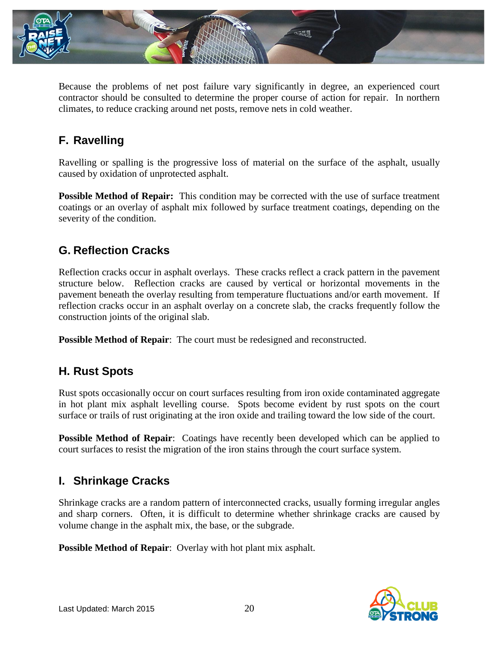

Because the problems of net post failure vary significantly in degree, an experienced court contractor should be consulted to determine the proper course of action for repair. In northern climates, to reduce cracking around net posts, remove nets in cold weather.

## **F. Ravelling**

Ravelling or spalling is the progressive loss of material on the surface of the asphalt, usually caused by oxidation of unprotected asphalt.

**Possible Method of Repair:** This condition may be corrected with the use of surface treatment coatings or an overlay of asphalt mix followed by surface treatment coatings, depending on the severity of the condition.

## **G. Reflection Cracks**

Reflection cracks occur in asphalt overlays. These cracks reflect a crack pattern in the pavement structure below. Reflection cracks are caused by vertical or horizontal movements in the pavement beneath the overlay resulting from temperature fluctuations and/or earth movement. If reflection cracks occur in an asphalt overlay on a concrete slab, the cracks frequently follow the construction joints of the original slab.

**Possible Method of Repair**: The court must be redesigned and reconstructed.

## **H. Rust Spots**

Rust spots occasionally occur on court surfaces resulting from iron oxide contaminated aggregate in hot plant mix asphalt levelling course. Spots become evident by rust spots on the court surface or trails of rust originating at the iron oxide and trailing toward the low side of the court.

**Possible Method of Repair:** Coatings have recently been developed which can be applied to court surfaces to resist the migration of the iron stains through the court surface system.

## **I. Shrinkage Cracks**

Shrinkage cracks are a random pattern of interconnected cracks, usually forming irregular angles and sharp corners. Often, it is difficult to determine whether shrinkage cracks are caused by volume change in the asphalt mix, the base, or the subgrade.

**Possible Method of Repair**: Overlay with hot plant mix asphalt.

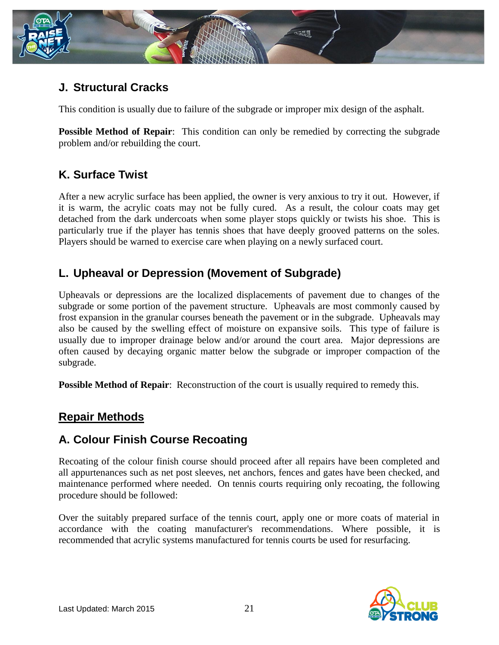

## **J. Structural Cracks**

This condition is usually due to failure of the subgrade or improper mix design of the asphalt.

**Possible Method of Repair:** This condition can only be remedied by correcting the subgrade problem and/or rebuilding the court.

## **K. Surface Twist**

After a new acrylic surface has been applied, the owner is very anxious to try it out. However, if it is warm, the acrylic coats may not be fully cured. As a result, the colour coats may get detached from the dark undercoats when some player stops quickly or twists his shoe. This is particularly true if the player has tennis shoes that have deeply grooved patterns on the soles. Players should be warned to exercise care when playing on a newly surfaced court.

## **L. Upheaval or Depression (Movement of Subgrade)**

Upheavals or depressions are the localized displacements of pavement due to changes of the subgrade or some portion of the pavement structure. Upheavals are most commonly caused by frost expansion in the granular courses beneath the pavement or in the subgrade. Upheavals may also be caused by the swelling effect of moisture on expansive soils. This type of failure is usually due to improper drainage below and/or around the court area. Major depressions are often caused by decaying organic matter below the subgrade or improper compaction of the subgrade.

**Possible Method of Repair:** Reconstruction of the court is usually required to remedy this.

## **Repair Methods**

## **A. Colour Finish Course Recoating**

Recoating of the colour finish course should proceed after all repairs have been completed and all appurtenances such as net post sleeves, net anchors, fences and gates have been checked, and maintenance performed where needed. On tennis courts requiring only recoating, the following procedure should be followed:

Over the suitably prepared surface of the tennis court, apply one or more coats of material in accordance with the coating manufacturer's recommendations. Where possible, it is recommended that acrylic systems manufactured for tennis courts be used for resurfacing.

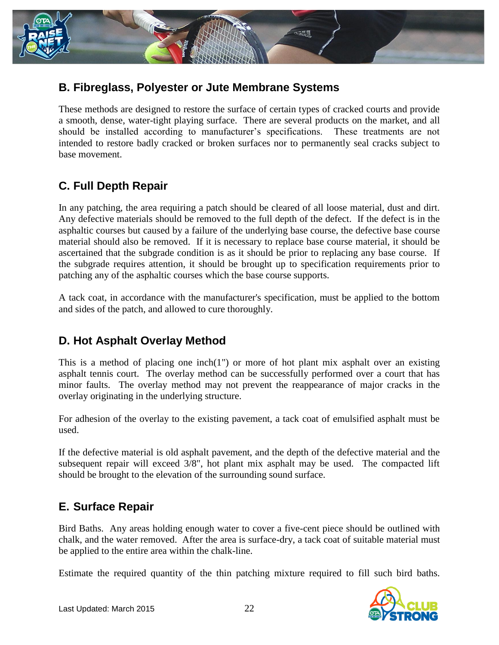

### **B. Fibreglass, Polyester or Jute Membrane Systems**

These methods are designed to restore the surface of certain types of cracked courts and provide a smooth, dense, water-tight playing surface. There are several products on the market, and all should be installed according to manufacturer's specifications. These treatments are not intended to restore badly cracked or broken surfaces nor to permanently seal cracks subject to base movement.

## **C. Full Depth Repair**

In any patching, the area requiring a patch should be cleared of all loose material, dust and dirt. Any defective materials should be removed to the full depth of the defect. If the defect is in the asphaltic courses but caused by a failure of the underlying base course, the defective base course material should also be removed. If it is necessary to replace base course material, it should be ascertained that the subgrade condition is as it should be prior to replacing any base course. If the subgrade requires attention, it should be brought up to specification requirements prior to patching any of the asphaltic courses which the base course supports.

A tack coat, in accordance with the manufacturer's specification, must be applied to the bottom and sides of the patch, and allowed to cure thoroughly.

## **D. Hot Asphalt Overlay Method**

This is a method of placing one inch(1") or more of hot plant mix asphalt over an existing asphalt tennis court. The overlay method can be successfully performed over a court that has minor faults. The overlay method may not prevent the reappearance of major cracks in the overlay originating in the underlying structure.

For adhesion of the overlay to the existing pavement, a tack coat of emulsified asphalt must be used.

If the defective material is old asphalt pavement, and the depth of the defective material and the subsequent repair will exceed 3/8", hot plant mix asphalt may be used. The compacted lift should be brought to the elevation of the surrounding sound surface.

## **E. Surface Repair**

Bird Baths. Any areas holding enough water to cover a five-cent piece should be outlined with chalk, and the water removed. After the area is surface-dry, a tack coat of suitable material must be applied to the entire area within the chalk-line.

Estimate the required quantity of the thin patching mixture required to fill such bird baths.